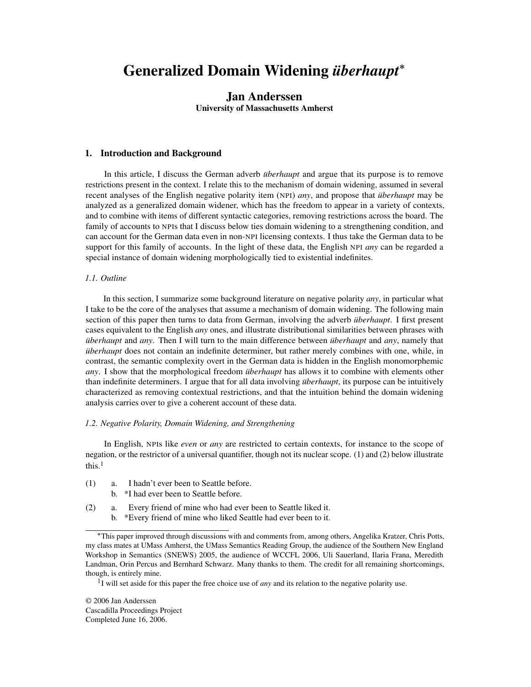# Generalized Domain Widening *uberhaupt ¨* ∗

# Jan Anderssen

University of Massachusetts Amherst

# 1. Introduction and Background

In this article, I discuss the German adverb *überhaupt* and argue that its purpose is to remove restrictions present in the context. I relate this to the mechanism of domain widening, assumed in several recent analyses of the English negative polarity item (NPI) *any*, and propose that *uberhaupt* may be analyzed as a generalized domain widener, which has the freedom to appear in a variety of contexts, and to combine with items of different syntactic categories, removing restrictions across the board. The family of accounts to NPIs that I discuss below ties domain widening to a strengthening condition, and can account for the German data even in non-NPI licensing contexts. I thus take the German data to be support for this family of accounts. In the light of these data, the English NPI *any* can be regarded a special instance of domain widening morphologically tied to existential indefinites.

# *1.1. Outline*

In this section, I summarize some background literature on negative polarity *any*, in particular what I take to be the core of the analyses that assume a mechanism of domain widening. The following main section of this paper then turns to data from German, involving the adverb *überhaupt*. I first present cases equivalent to the English *any* ones, and illustrate distributional similarities between phrases with *uberhaupt* and *any*. Then I will turn to the main difference between *uberhaupt* and *any*, namely that *uberhaupt* does not contain an indefinite determiner, but rather merely combines with one, while, in contrast, the semantic complexity overt in the German data is hidden in the English monomorphemic *any*. I show that the morphological freedom *überhaupt* has allows it to combine with elements other than indefinite determiners. I argue that for all data involving *überhaupt*, its purpose can be intuitively characterized as removing contextual restrictions, and that the intuition behind the domain widening analysis carries over to give a coherent account of these data.

# *1.2. Negative Polarity, Domain Widening, and Strengthening*

In English, NPIs like *even* or *any* are restricted to certain contexts, for instance to the scope of negation, or the restrictor of a universal quantifier, though not its nuclear scope. (1) and (2) below illustrate this.<sup>1</sup>

- (1) a. I hadn't ever been to Seattle before.
	- b. \*I had ever been to Seattle before.
- (2) a. Every friend of mine who had ever been to Seattle liked it.
	- b. \*Every friend of mine who liked Seattle had ever been to it.

© 2006 Jan Anderssen Cascadilla Proceedings Project Completed June 16, 2006.

<sup>∗</sup>This paper improved through discussions with and comments from, among others, Angelika Kratzer, Chris Potts, my class mates at UMass Amherst, the UMass Semantics Reading Group, the audience of the Southern New England Workshop in Semantics (SNEWS) 2005, the audience of WCCFL 2006, Uli Sauerland, Ilaria Frana, Meredith Landman, Orin Percus and Bernhard Schwarz. Many thanks to them. The credit for all remaining shortcomings, though, is entirely mine.

<sup>&</sup>lt;sup>1</sup>I will set aside for this paper the free choice use of *any* and its relation to the negative polarity use.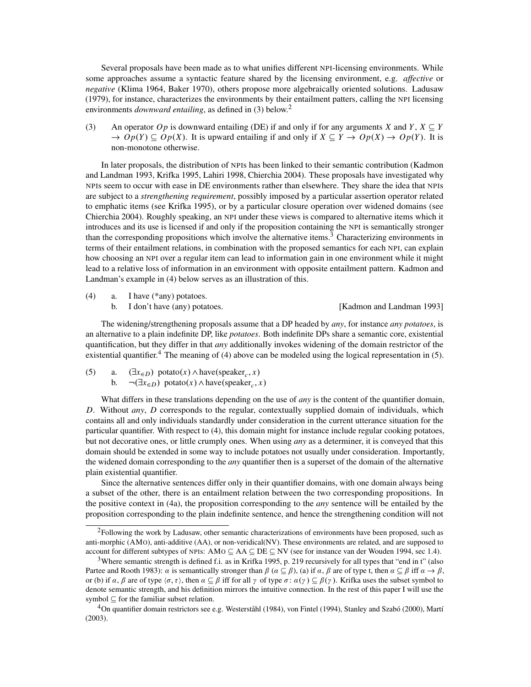Several proposals have been made as to what unifies different NPI-licensing environments. While some approaches assume a syntactic feature shared by the licensing environment, e.g. *affective* or *negative* (Klima 1964, Baker 1970), others propose more algebraically oriented solutions. Ladusaw (1979), for instance, characterizes the environments by their entailment patters, calling the NPI licensing environments *downward entailing*, as defined in (3) below.<sup>2</sup>

(3) An operator *Op* is downward entailing (DE) if and only if for any arguments *X* and *Y*,  $X \subseteq Y$  $\rightarrow$   $Op(Y) \subseteq Op(X)$ . It is upward entailing if and only if  $X \subseteq Y \rightarrow Op(X) \rightarrow Op(Y)$ . It is non-monotone otherwise.

In later proposals, the distribution of NPIs has been linked to their semantic contribution (Kadmon and Landman 1993, Krifka 1995, Lahiri 1998, Chierchia 2004). These proposals have investigated why NPIs seem to occur with ease in DE environments rather than elsewhere. They share the idea that NPIs are subject to a *strengthening requirement*, possibly imposed by a particular assertion operator related to emphatic items (see Krifka 1995), or by a particular closure operation over widened domains (see Chierchia 2004). Roughly speaking, an NPI under these views is compared to alternative items which it introduces and its use is licensed if and only if the proposition containing the NPI is semantically stronger than the corresponding propositions which involve the alternative items.<sup>3</sup> Characterizing environments in terms of their entailment relations, in combination with the proposed semantics for each NPI, can explain how choosing an NPI over a regular item can lead to information gain in one environment while it might lead to a relative loss of information in an environment with opposite entailment pattern. Kadmon and Landman's example in (4) below serves as an illustration of this.

The widening/strengthening proposals assume that a DP headed by *any*, for instance *any potatoes*, is an alternative to a plain indefinite DP, like *potatoes*. Both indefinite DPs share a semantic core, existential quantification, but they differ in that *any* additionally invokes widening of the domain restrictor of the existential quantifier.<sup>4</sup> The meaning of (4) above can be modeled using the logical representation in (5).

(5) a.  $(\exists x \in D)$  potato $(x) \land \text{have}(\text{speaker}_c, x)$ b.  $\neg(\exists x_{\in D})$  potato $(x) \land \text{have}(\text{speaker}_c, x)$ 

What differs in these translations depending on the use of *any* is the content of the quantifier domain, *D*. Without *any*, *D* corresponds to the regular, contextually supplied domain of individuals, which contains all and only individuals standardly under consideration in the current utterance situation for the particular quantifier. With respect to (4), this domain might for instance include regular cooking potatoes, but not decorative ones, or little crumply ones. When using *any* as a determiner, it is conveyed that this domain should be extended in some way to include potatoes not usually under consideration. Importantly, the widened domain corresponding to the *any* quantifier then is a superset of the domain of the alternative plain existential quantifier.

Since the alternative sentences differ only in their quantifier domains, with one domain always being a subset of the other, there is an entailment relation between the two corresponding propositions. In the positive context in (4a), the proposition corresponding to the *any* sentence will be entailed by the proposition corresponding to the plain indefinite sentence, and hence the strengthening condition will not

<sup>(4)</sup> a. I have (\*any) potatoes.

b. I don't have (any) potatoes. [Kadmon and Landman 1993]

<sup>&</sup>lt;sup>2</sup>Following the work by Ladusaw, other semantic characterizations of environments have been proposed, such as anti-morphic (AMO), anti-additive (AA), or non-veridical(NV). These environments are related, and are supposed to account for different subtypes of NPIs: AMO  $\subseteq$  AA  $\subseteq$  DE  $\subseteq$  NV (see for instance van der Wouden 1994, sec 1.4).

<sup>3</sup>Where semantic strength is defined f.i. as in Krifka 1995, p. 219 recursively for all types that "end in t" (also Partee and Rooth 1983):  $\alpha$  is semantically stronger than  $\beta$  ( $\alpha \subseteq \beta$ ), (a) if  $\alpha$ ,  $\beta$  are of type t, then  $\alpha \subseteq \beta$  iff  $\alpha \to \beta$ , or (b) if  $\alpha$ ,  $\beta$  are of type  $\langle \sigma, \tau \rangle$ , then  $\alpha \subseteq \beta$  iff for all  $\gamma$  of type  $\sigma : \alpha(\gamma) \subseteq \beta(\gamma)$ . Krifka uses the subset symbol to denote semantic strength, and his definition mirrors the intuitive connection. In the rest of this paper I will use the symbol  $\subseteq$  for the familiar subset relation.

 ${}^{4}$ On quantifier domain restrictors see e.g. Westerståhl (1984), von Fintel (1994), Stanley and Szabó (2000), Martí (2003).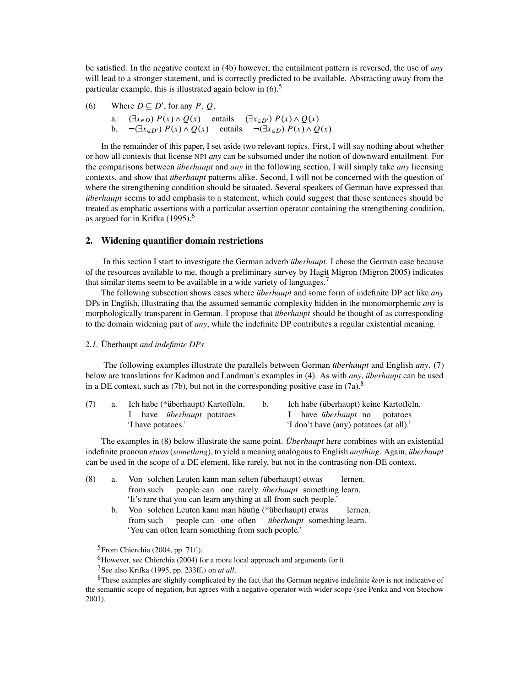be satisfied. In the negative context in (4b) however, the entailment pattern is reversed, the use of *any* will lead to a stronger statement, and is correctly predicted to be available. Abstracting away from the particular example, this is illustrated again below in  $(6)$ <sup>5</sup>

(6) Where  $D \subseteq D'$ , for any *P*, *Q*,

a.  $(\exists x \in D) P(x) \land Q(x)$  entails  $(\exists x \in D') P(x) \land Q(x)$ b. ¬(∃ $x ∈ D'$ )  $P(x) ∧ Q(x)$  entails ¬(∃ $x ∈ D$ )  $P(x) ∧ Q(x)$ 

In the remainder of this paper, I set aside two relevant topics. First, I will say nothing about whether or how all contexts that license NPI *any* can be subsumed under the notion of downward entailment. For the comparisons between *uberhaupt* and *any* in the following section, I will simply take *any* licensing contexts, and show that *uberhaupt* patterns alike. Second, I will not be concerned with the question of where the strengthening condition should be situated. Several speakers of German have expressed that *uberhaupt* seems to add emphasis to a statement, which could suggest that these sentences should be treated as emphatic assertions with a particular assertion operator containing the strengthening condition, as argued for in Krifka (1995).<sup>6</sup>

# 2. Widening quantifier domain restrictions

In this section I start to investigate the German adverb *überhaupt*. I chose the German case because of the resources available to me, though a preliminary survey by Hagit Migron (Migron 2005) indicates that similar items seem to be available in a wide variety of languages.<sup>7</sup>

The following subsection shows cases where *überhaupt* and some form of indefinite DP act like *any* DPs in English, illustrating that the assumed semantic complexity hidden in the monomorphemic *any* is morphologically transparent in German. I propose that *uberhaupt* should be thought of as corresponding to the domain widening part of *any*, while the indefinite DP contributes a regular existential meaning.

# 2.1. Überhaupt and indefinite DPs

The following examples illustrate the parallels between German *überhaupt* and English *any.* (7) below are translations for Kadmon and Landman's examples in (4). As with *any*, *überhaupt* can be used in a DE context, such as (7b), but not in the corresponding positive case in  $(7a)$ .<sup>8</sup>

| (7) | Ich habe (*überhaupt) Kartoffeln. |  | Ich habe (überhaupt) keine Kartoffeln.  |  |  |
|-----|-----------------------------------|--|-----------------------------------------|--|--|
|     | I have <i>überhaupt</i> potatoes  |  | I have <i>überhaupt</i> no potatoes     |  |  |
|     | I have potatoes.'                 |  | 'I don't have (any) potatoes (at all).' |  |  |

The examples in (8) below illustrate the same point. *Uberhaupt* here combines with an existential indefinite pronoun *etwas* (*something*), to yield a meaning analogous to English *anything*. Again, *uberhaupt ¨* can be used in the scope of a DE element, like rarely, but not in the contrasting non-DE context.

- (8) a. Von solchen Leuten kann man selten (überhaupt) etwas from such people can one rarely *überhaupt* something learn. lernen. 'It's rare that you can learn anything at all from such people.' lernen.
	- b. Von solchen Leuten kann man häufig (\*überhaupt) etwas from such people can one often iiberhaupt something learn. 'You can often learn something from such people.'

 $<sup>5</sup>$ From Chierchia (2004, pp. 71f.).</sup>

 ${}^{6}$ However, see Chierchia (2004) for a more local approach and arguments for it.

<sup>7</sup>See also Krifka (1995, pp. 233ff.) on *at all*.

<sup>8</sup>These examples are slightly complicated by the fact that the German negative indefinite *kein* is not indicative of the semantic scope of negation, but agrees with a negative operator with wider scope (see Penka and von Stechow 2001).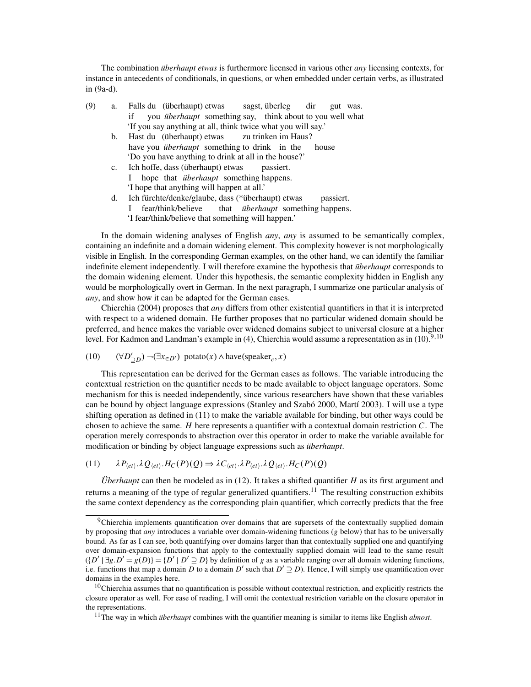The combination *überhaupt etwas* is furthermore licensed in various other *any* licensing contexts, for instance in antecedents of conditionals, in questions, or when embedded under certain verbs, as illustrated in (9a-d).

- (9) a. Falls du (überhaupt) etwas if you *überhaupt* something say, think about to you well what sagst, überleg dir gut was. 'If you say anything at all, think twice what you will say.'
	- b. Hast du (überhaupt) etwas have you *überhaupt* something to drink in zu trinken im Haus? house 'Do you have anything to drink at all in the house?'
	- c. Ich hoffe, dass (überhaupt) etwas I hope that *überhaupt* something happens. passiert. 'I hope that anything will happen at all.'
	- d. Ich fürchte/denke/glaube, dass (\*überhaupt) etwas I fear/think/believe that *überhaupt* something happens. passiert. 'I fear/think/believe that something will happen.'

In the domain widening analyses of English *any*, *any* is assumed to be semantically complex, containing an indefinite and a domain widening element. This complexity however is not morphologically visible in English. In the corresponding German examples, on the other hand, we can identify the familiar indefinite element independently. I will therefore examine the hypothesis that *überhaupt* corresponds to the domain widening element. Under this hypothesis, the semantic complexity hidden in English any would be morphologically overt in German. In the next paragraph, I summarize one particular analysis of *any*, and show how it can be adapted for the German cases.

Chierchia (2004) proposes that *any* differs from other existential quantifiers in that it is interpreted with respect to a widened domain. He further proposes that no particular widened domain should be preferred, and hence makes the variable over widened domains subject to universal closure at a higher level. For Kadmon and Landman's example in  $(4)$ , Chierchia would assume a representation as in  $(10)$ <sup>9,10</sup>

(10) 
$$
(\forall D'_{\supseteq D}) \neg (\exists x_{\in D'}) \text{ potato}(x) \land \text{have}(\text{speaker}_c, x)
$$

This representation can be derived for the German cases as follows. The variable introducing the contextual restriction on the quantifier needs to be made available to object language operators. Some mechanism for this is needed independently, since various researchers have shown that these variables can be bound by object language expressions (Stanley and Szabó 2000, Martí 2003). I will use a type shifting operation as defined in (11) to make the variable available for binding, but other ways could be chosen to achieve the same. *H* here represents a quantifier with a contextual domain restriction *C*. The operation merely corresponds to abstraction over this operator in order to make the variable available for modification or binding by object language expressions such as *überhaupt*.

# $\lambda P_{\langle et \rangle}$ . $\lambda Q_{\langle et \rangle}$ . $H_C(P)(Q) \Rightarrow \lambda C_{\langle et \rangle}$ . $\lambda P_{\langle et \rangle}$ . $\lambda Q_{\langle et \rangle}$ . $H_C(P)(Q)$

*Uberhaupt* can then be modeled as in  $(12)$ . It takes a shifted quantifier *H* as its first argument and returns a meaning of the type of regular generalized quantifiers.<sup>11</sup> The resulting construction exhibits the same context dependency as the corresponding plain quantifier, which correctly predicts that the free

<sup>&</sup>lt;sup>9</sup>Chierchia implements quantification over domains that are supersets of the contextually supplied domain by proposing that *any* introduces a variable over domain-widening functions (*g* below) that has to be universally bound. As far as I can see, both quantifying over domains larger than that contextually supplied one and quantifying over domain-expansion functions that apply to the contextually supplied domain will lead to the same result  $\{[D' | \exists g.D' = g(D)\} = \{D' | D' \supseteq D\}$  by definition of *g* as a variable ranging over all domain widening functions, i.e. functions that map a domain *D* to a domain *D'* such that  $D' \supseteq D$ ). Hence, I will simply use quantification over domains in the examples here.

 $10$ Chierchia assumes that no quantification is possible without contextual restriction, and explicitly restricts the closure operator as well. For ease of reading, I will omit the contextual restriction variable on the closure operator in the representations.

<sup>&</sup>lt;sup>11</sup>The way in which *überhaupt* combines with the quantifier meaning is similar to items like English *almost*.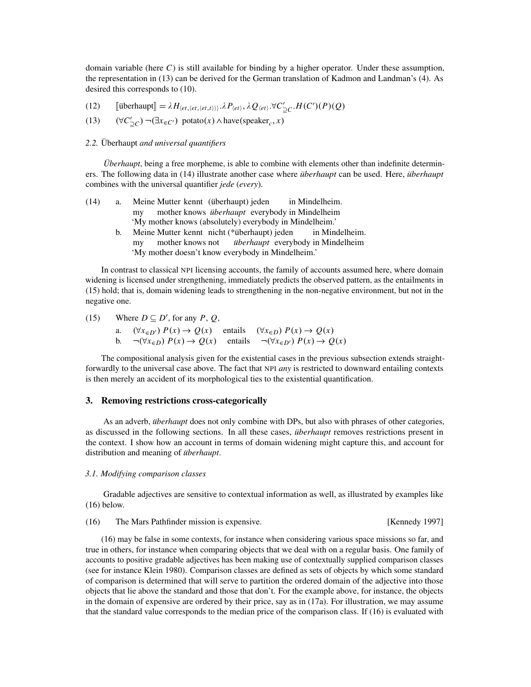domain variable (here *C*) is still available for binding by a higher operator. Under these assumption, the representation in (13) can be derived for the German translation of Kadmon and Landman's (4). As desired this corresponds to (10).

- (12)  $[\text{überhaupt}] = \lambda H_{\langle et, \langle et, \langle et, \rangle \rangle \rangle} \cdot \lambda P_{\langle et \rangle}, \lambda Q_{\langle et \rangle} \cdot \forall C'_{\supseteq C} \cdot H(C')(P)(Q)$
- (13)  $(\forall C'_{\exists C}) \neg (\exists x_{\in C'})$  potato(*x*)∧have(speaker<sub>*c*</sub>,*x*)

# 2.2. Überhaupt and universal quantifiers

*Überhaupt*, being a free morpheme, is able to combine with elements other than indefinite determiners. The following data in (14) illustrate another case where *uberhaupt* can be used. Here, *uberhaupt* combines with the universal quantifier *jede* (*every*).

| (14) | a. | Meine Mutter kennt (überhaupt) jeden<br>in Mindelheim.          |  |  |  |
|------|----|-----------------------------------------------------------------|--|--|--|
|      |    | mother knows <i>überhaupt</i> everybody in Mindelheim<br>mv     |  |  |  |
|      |    | 'My mother knows (absolutely) everybody in Mindelheim.'         |  |  |  |
|      | b. | Meine Mutter kennt nicht (*überhaupt) jeden in Mindelheim.      |  |  |  |
|      |    | mother knows not <i>überhaupt</i> everybody in Mindelheim<br>mv |  |  |  |
|      |    | 'My mother doesn't know everybody in Mindelheim.'               |  |  |  |

In contrast to classical NPI licensing accounts, the family of accounts assumed here, where domain widening is licensed under strengthening, immediately predicts the observed pattern, as the entailments in (15) hold; that is, domain widening leads to strengthening in the non-negative environment, but not in the negative one.

(15) Where  $D \subseteq D'$ , for any *P*, *Q*, a.  $(\forall x \in D') P(x) \rightarrow Q(x)$  entails  $(\forall x \in D) P(x) \rightarrow Q(x)$ b.  $\neg(\forall x \in D) P(x) \rightarrow Q(x)$  entails  $\neg(\forall x \in D') P(x) \rightarrow Q(x)$ 

The compositional analysis given for the existential cases in the previous subsection extends straightforwardly to the universal case above. The fact that NPI *any* is restricted to downward entailing contexts is then merely an accident of its morphological ties to the existential quantification.

# 3. Removing restrictions cross-categorically

As an adverb, *überhaupt* does not only combine with DPs, but also with phrases of other categories, as discussed in the following sections. In all these cases, *uberhaupt* removes restrictions present in the context. I show how an account in terms of domain widening might capture this, and account for distribution and meaning of *überhaupt*.

#### *3.1. Modifying comparison classes*

Gradable adjectives are sensitive to contextual information as well, as illustrated by examples like (16) below.

(16) The Mars Pathfinder mission is expensive. [Kennedy 1997]

(16) may be false in some contexts, for instance when considering various space missions so far, and true in others, for instance when comparing objects that we deal with on a regular basis. One family of accounts to positive gradable adjectives has been making use of contextually supplied comparison classes (see for instance Klein 1980). Comparison classes are defined as sets of objects by which some standard of comparison is determined that will serve to partition the ordered domain of the adjective into those objects that lie above the standard and those that don't. For the example above, for instance, the objects in the domain of expensive are ordered by their price, say as in (17a). For illustration, we may assume that the standard value corresponds to the median price of the comparison class. If (16) is evaluated with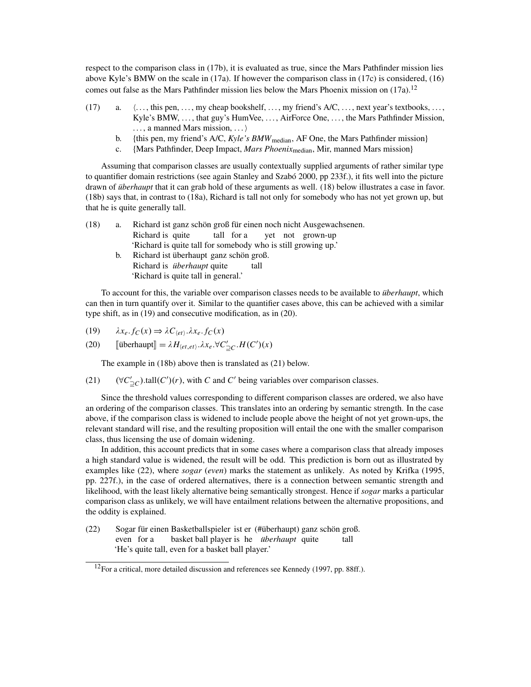respect to the comparison class in (17b), it is evaluated as true, since the Mars Pathfinder mission lies above Kyle's BMW on the scale in (17a). If however the comparison class in (17c) is considered, (16) comes out false as the Mars Pathfinder mission lies below the Mars Phoenix mission on  $(17a)$ .<sup>12</sup>

- (17) a.  $\ldots$ , this pen,  $\ldots$ , my cheap bookshelf,  $\ldots$ , my friend's A/C,  $\ldots$ , next year's textbooks,  $\ldots$ , Kyle's BMW, . . . , that guy's HumVee, . . . , AirForce One, . . . , the Mars Pathfinder Mission,  $\ldots$ , a manned Mars mission,  $\ldots$ 
	- b. {this pen, my friend's A/C, *Kyle's BMW*<sub>median</sub>, AF One, the Mars Pathfinder mission}
	- c. {Mars Pathfinder, Deep Impact, *Mars Phoenix*median, Mir, manned Mars mission}

Assuming that comparison classes are usually contextually supplied arguments of rather similar type to quantifier domain restrictions (see again Stanley and Szabó 2000, pp 233f.), it fits well into the picture drawn of *überhaupt* that it can grab hold of these arguments as well. (18) below illustrates a case in favor. (18b) says that, in contrast to (18a), Richard is tall not only for somebody who has not yet grown up, but that he is quite generally tall.

| (18) | a. | Richard ist ganz schön groß für einen noch nicht Ausgewachsenen. |  |  |  |  |
|------|----|------------------------------------------------------------------|--|--|--|--|
|      |    | Richard is quite tall for a vet not grown-up                     |  |  |  |  |
|      |    | 'Richard is quite tall for somebody who is still growing up.'    |  |  |  |  |
|      | b. | Richard ist überhaupt ganz schön groß.                           |  |  |  |  |
|      |    | Richard is <i>überhaupt</i> quite<br>tall                        |  |  |  |  |
|      |    | 'Richard is quite tall in general.'                              |  |  |  |  |

To account for this, the variable over comparison classes needs to be available to *uberhaupt*, which can then in turn quantify over it. Similar to the quantifier cases above, this can be achieved with a similar type shift, as in (19) and consecutive modification, as in (20).

(19) 
$$
\lambda x_e.f_C(x) \Rightarrow \lambda C_{\langle et \rangle}.\lambda x_e.f_C(x)
$$

(20) 
$$
\llbracket \text{überhaupt} \rrbracket = \lambda H_{\langle et, et \rangle} . \lambda x_e. \forall C'_{\sqsupseteq C} . H(C')(x)
$$

The example in (18b) above then is translated as (21) below.

(21)  $(\forall C'_{\supseteq C})$ .tall $(C')(r)$ , with *C* and *C'* being variables over comparison classes.

Since the threshold values corresponding to different comparison classes are ordered, we also have an ordering of the comparison classes. This translates into an ordering by semantic strength. In the case above, if the comparison class is widened to include people above the height of not yet grown-ups, the relevant standard will rise, and the resulting proposition will entail the one with the smaller comparison class, thus licensing the use of domain widening.

In addition, this account predicts that in some cases where a comparison class that already imposes a high standard value is widened, the result will be odd. This prediction is born out as illustrated by examples like (22), where *sogar* (*even*) marks the statement as unlikely. As noted by Krifka (1995, pp. 227f.), in the case of ordered alternatives, there is a connection between semantic strength and likelihood, with the least likely alternative being semantically strongest. Hence if *sogar* marks a particular comparison class as unlikely, we will have entailment relations between the alternative propositions, and the oddity is explained.

(22) Sogar für einen Basketballspieler ist er (#überhaupt) ganz schön groß. even for a basket ball player is he *überhaupt* quite tall 'He's quite tall, even for a basket ball player.'

 $12$ For a critical, more detailed discussion and references see Kennedy (1997, pp. 88ff.).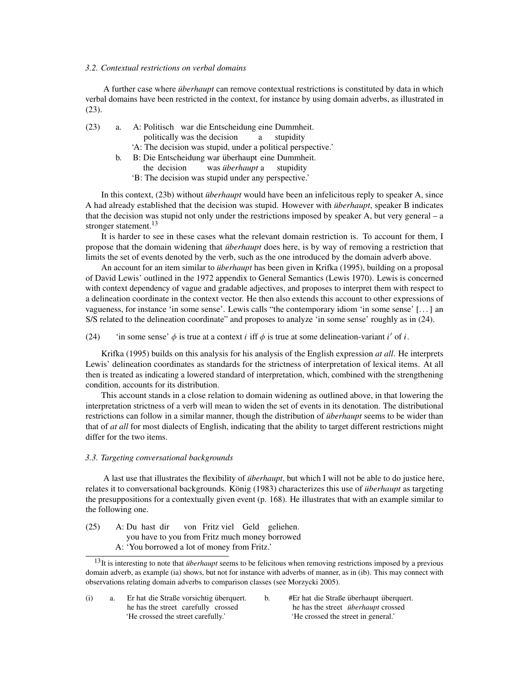# *3.2. Contextual restrictions on verbal domains*

A further case where *überhaupt* can remove contextual restrictions is constituted by data in which verbal domains have been restricted in the context, for instance by using domain adverbs, as illustrated in (23).

(23) a. A: Politisch war die Entscheidung eine Dummheit. politically was the decision a stupidity 'A: The decision was stupid, under a political perspective.' b. B: Die Entscheidung war überhaupt eine Dummheit.

the decision was *überhaupt* a stupidity 'B: The decision was stupid under any perspective.'

In this context, (23b) without *überhaupt* would have been an infelicitous reply to speaker A, since A had already established that the decision was stupid. However with *überhaupt*, speaker B indicates that the decision was stupid not only under the restrictions imposed by speaker A, but very general – a stronger statement.<sup>13</sup>

It is harder to see in these cases what the relevant domain restriction is. To account for them, I propose that the domain widening that *überhaupt* does here, is by way of removing a restriction that limits the set of events denoted by the verb, such as the one introduced by the domain adverb above.

An account for an item similar to *überhaupt* has been given in Krifka (1995), building on a proposal of David Lewis' outlined in the 1972 appendix to General Semantics (Lewis 1970). Lewis is concerned with context dependency of vague and gradable adjectives, and proposes to interpret them with respect to a delineation coordinate in the context vector. He then also extends this account to other expressions of vagueness, for instance 'in some sense'. Lewis calls "the contemporary idiom 'in some sense' [. . . ] an S/S related to the delineation coordinate" and proposes to analyze 'in some sense' roughly as in (24).

(24) 'in some sense'  $\phi$  is true at a context *i* if  $\phi$  is true at some delineation-variant *i'* of *i*.

Krifka (1995) builds on this analysis for his analysis of the English expression *at all*. He interprets Lewis' delineation coordinates as standards for the strictness of interpretation of lexical items. At all then is treated as indicating a lowered standard of interpretation, which, combined with the strengthening condition, accounts for its distribution.

This account stands in a close relation to domain widening as outlined above, in that lowering the interpretation strictness of a verb will mean to widen the set of events in its denotation. The distributional restrictions can follow in a similar manner, though the distribution of *überhaupt* seems to be wider than that of *at all* for most dialects of English, indicating that the ability to target different restrictions might differ for the two items.

# *3.3. Targeting conversational backgrounds*

A last use that illustrates the flexibility of *überhaupt*, but which I will not be able to do justice here, relates it to conversational backgrounds. König (1983) characterizes this use of *überhaupt* as targeting the presuppositions for a contextually given event (p. 168). He illustrates that with an example similar to the following one.

(25) A: Du hast dir you have to you from Fritz much money borrowed von Fritz viel Geld geliehen. A: 'You borrowed a lot of money from Fritz.'

(i) a. Er hat die Straße vorsichtig überquert. he has the street carefully crossed 'He crossed the street carefully.' b. #Er hat die Straße überhaupt überquert. he has the street *überhaupt* crossed 'He crossed the street in general.'

 $13$ It is interesting to note that *überhaupt* seems to be felicitous when removing restrictions imposed by a previous domain adverb, as example (ia) shows, but not for instance with adverbs of manner, as in (ib). This may connect with observations relating domain adverbs to comparison classes (see Morzycki 2005).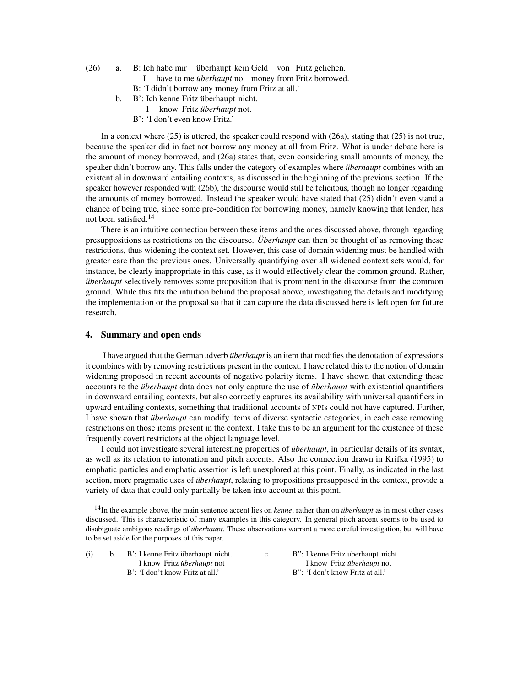- (26) a. B: Ich habe mir überhaupt kein Geld von Fritz geliehen. I have to me *überhaupt* no money from Fritz borrowed. B: 'I didn't borrow any money from Fritz at all.'
	-
	- b. B': Ich kenne Fritz überhaupt nicht. I know Fritz überhaupt not.
		- B': 'I don't even know Fritz.'

In a context where  $(25)$  is uttered, the speaker could respond with  $(26a)$ , stating that  $(25)$  is not true, because the speaker did in fact not borrow any money at all from Fritz. What is under debate here is the amount of money borrowed, and (26a) states that, even considering small amounts of money, the speaker didn't borrow any. This falls under the category of examples where *uberhaupt* combines with an existential in downward entailing contexts, as discussed in the beginning of the previous section. If the speaker however responded with (26b), the discourse would still be felicitous, though no longer regarding the amounts of money borrowed. Instead the speaker would have stated that (25) didn't even stand a chance of being true, since some pre-condition for borrowing money, namely knowing that lender, has not been satisfied.<sup>14</sup>

There is an intuitive connection between these items and the ones discussed above, through regarding presuppositions as restrictions on the discourse. *Überhaupt* can then be thought of as removing these restrictions, thus widening the context set. However, this case of domain widening must be handled with greater care than the previous ones. Universally quantifying over all widened context sets would, for instance, be clearly inappropriate in this case, as it would effectively clear the common ground. Rather, *uberhaupt* selectively removes some proposition that is prominent in the discourse from the common ground. While this fits the intuition behind the proposal above, investigating the details and modifying the implementation or the proposal so that it can capture the data discussed here is left open for future research.

# 4. Summary and open ends

I have argued that the German adverb *überhaupt* is an item that modifies the denotation of expressions it combines with by removing restrictions present in the context. I have related this to the notion of domain widening proposed in recent accounts of negative polarity items. I have shown that extending these accounts to the *überhaupt* data does not only capture the use of *überhaupt* with existential quantifiers in downward entailing contexts, but also correctly captures its availability with universal quantifiers in upward entailing contexts, something that traditional accounts of NPIs could not have captured. Further, I have shown that *überhaupt* can modify items of diverse syntactic categories, in each case removing restrictions on those items present in the context. I take this to be an argument for the existence of these frequently covert restrictors at the object language level.

I could not investigate several interesting properties of *überhaupt*, in particular details of its syntax, as well as its relation to intonation and pitch accents. Also the connection drawn in Krifka (1995) to emphatic particles and emphatic assertion is left unexplored at this point. Finally, as indicated in the last section, more pragmatic uses of *uberhaupt*, relating to propositions presupposed in the context, provide a variety of data that could only partially be taken into account at this point.

<sup>&</sup>lt;sup>14</sup>In the example above, the main sentence accent lies on *kenne*, rather than on *überhaupt* as in most other cases discussed. This is characteristic of many examples in this category. In general pitch accent seems to be used to disabiguate ambigous readings of *überhaupt*. These observations warrant a more careful investigation, but will have to be set aside for the purposes of this paper.

| (i) | b. | B': I kenne Fritz überhaupt nicht. |
|-----|----|------------------------------------|
|     |    | I know Fritz überhaupt not         |
|     |    | B': 'I don't know Fritz at all.'   |

c. B": I kenne Fritz uberhaupt nicht. I know Fritz überhaupt not B": 'I don't know Fritz at all.'